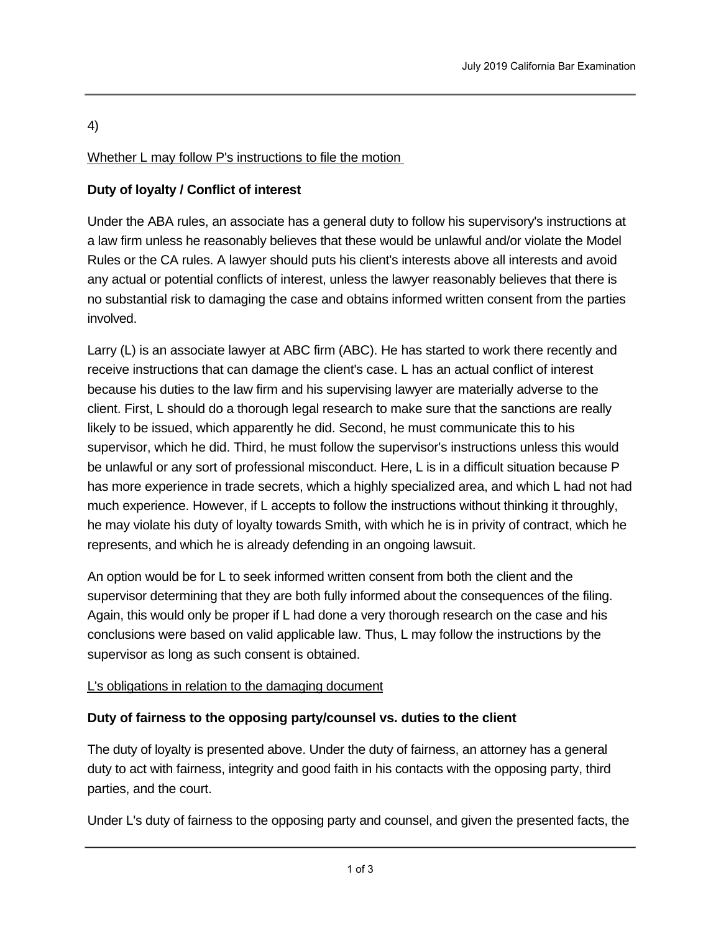# 4)

## Whether L may follow P's instructions to file the motion

## **Duty of loyalty / Conflict of interest**

Under the ABA rules, an associate has a general duty to follow his supervisory's instructions at a law firm unless he reasonably believes that these would be unlawful and/or violate the Model Rules or the CA rules. A lawyer should puts his client's interests above all interests and avoid any actual or potential conflicts of interest, unless the lawyer reasonably believes that there is no substantial risk to damaging the case and obtains informed written consent from the parties involved.

Larry (L) is an associate lawyer at ABC firm (ABC). He has started to work there recently and receive instructions that can damage the client's case. L has an actual conflict of interest because his duties to the law firm and his supervising lawyer are materially adverse to the client. First, L should do a thorough legal research to make sure that the sanctions are really likely to be issued, which apparently he did. Second, he must communicate this to his supervisor, which he did. Third, he must follow the supervisor's instructions unless this would be unlawful or any sort of professional misconduct. Here, L is in a difficult situation because P has more experience in trade secrets, which a highly specialized area, and which L had not had much experience. However, if L accepts to follow the instructions without thinking it throughly, he may violate his duty of loyalty towards Smith, with which he is in privity of contract, which he represents, and which he is already defending in an ongoing lawsuit.

An option would be for L to seek informed written consent from both the client and the supervisor determining that they are both fully informed about the consequences of the filing. Again, this would only be proper if L had done a very thorough research on the case and his conclusions were based on valid applicable law. Thus, L may follow the instructions by the supervisor as long as such consent is obtained.

### L's obligations in relation to the damaging document

### **Duty of fairness to the opposing party/counsel vs. duties to the client**

The duty of loyalty is presented above. Under the duty of fairness, an attorney has a general duty to act with fairness, integrity and good faith in his contacts with the opposing party, third parties, and the court.

Under L's duty of fairness to the opposing party and counsel, and given the presented facts, the

first instinct that L may have found is that he should disclose the document to the opposing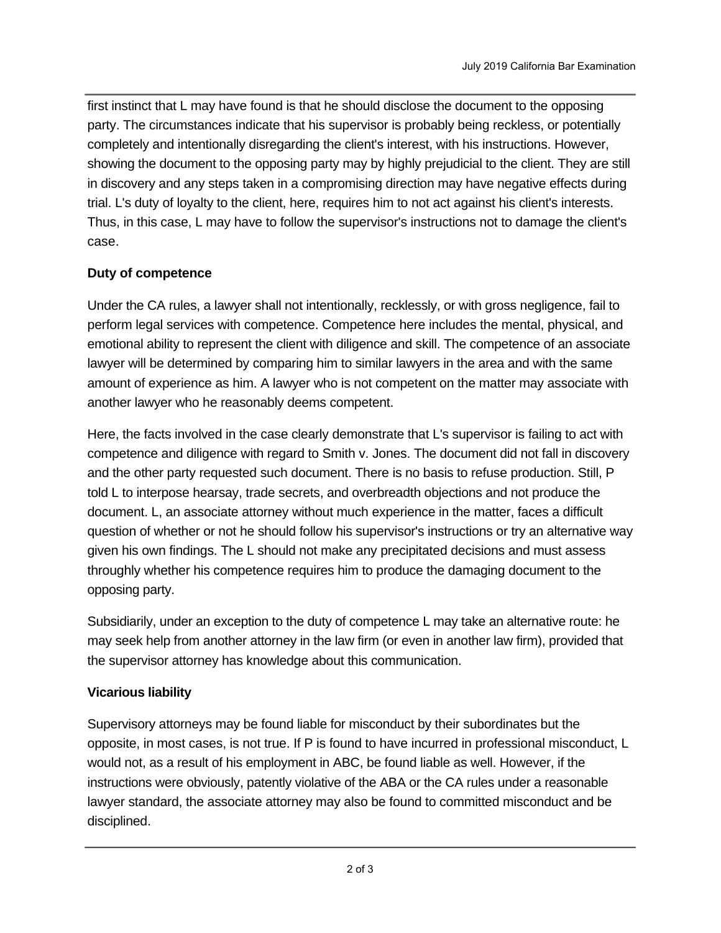first instinct that L may have found is that he should disclose the document to the opposing party. The circumstances indicate that his supervisor is probably being reckless, or potentially completely and intentionally disregarding the client's interest, with his instructions. However, showing the document to the opposing party may by highly prejudicial to the client. They are still in discovery and any steps taken in a compromising direction may have negative effects during trial. L's duty of loyalty to the client, here, requires him to not act against his client's interests. Thus, in this case, L may have to follow the supervisor's instructions not to damage the client's case.

### **Duty of competence**

Under the CA rules, a lawyer shall not intentionally, recklessly, or with gross negligence, fail to perform legal services with competence. Competence here includes the mental, physical, and emotional ability to represent the client with diligence and skill. The competence of an associate lawyer will be determined by comparing him to similar lawyers in the area and with the same amount of experience as him. A lawyer who is not competent on the matter may associate with another lawyer who he reasonably deems competent.

Here, the facts involved in the case clearly demonstrate that L's supervisor is failing to act with competence and diligence with regard to Smith v. Jones. The document did not fall in discovery and the other party requested such document. There is no basis to refuse production. Still, P told L to interpose hearsay, trade secrets, and overbreadth objections and not produce the document. L, an associate attorney without much experience in the matter, faces a difficult question of whether or not he should follow his supervisor's instructions or try an alternative way given his own findings. The L should not make any precipitated decisions and must assess throughly whether his competence requires him to produce the damaging document to the opposing party.

Subsidiarily, under an exception to the duty of competence L may take an alternative route: he may seek help from another attorney in the law firm (or even in another law firm), provided that the supervisor attorney has knowledge about this communication.

### **Vicarious liability**

Supervisory attorneys may be found liable for misconduct by their subordinates but the opposite, in most cases, is not true. If P is found to have incurred in professional misconduct, L would not, as a result of his employment in ABC, be found liable as well. However, if the instructions were obviously, patently violative of the ABA or the CA rules under a reasonable lawyer standard, the associate attorney may also be found to committed misconduct and be disciplined.